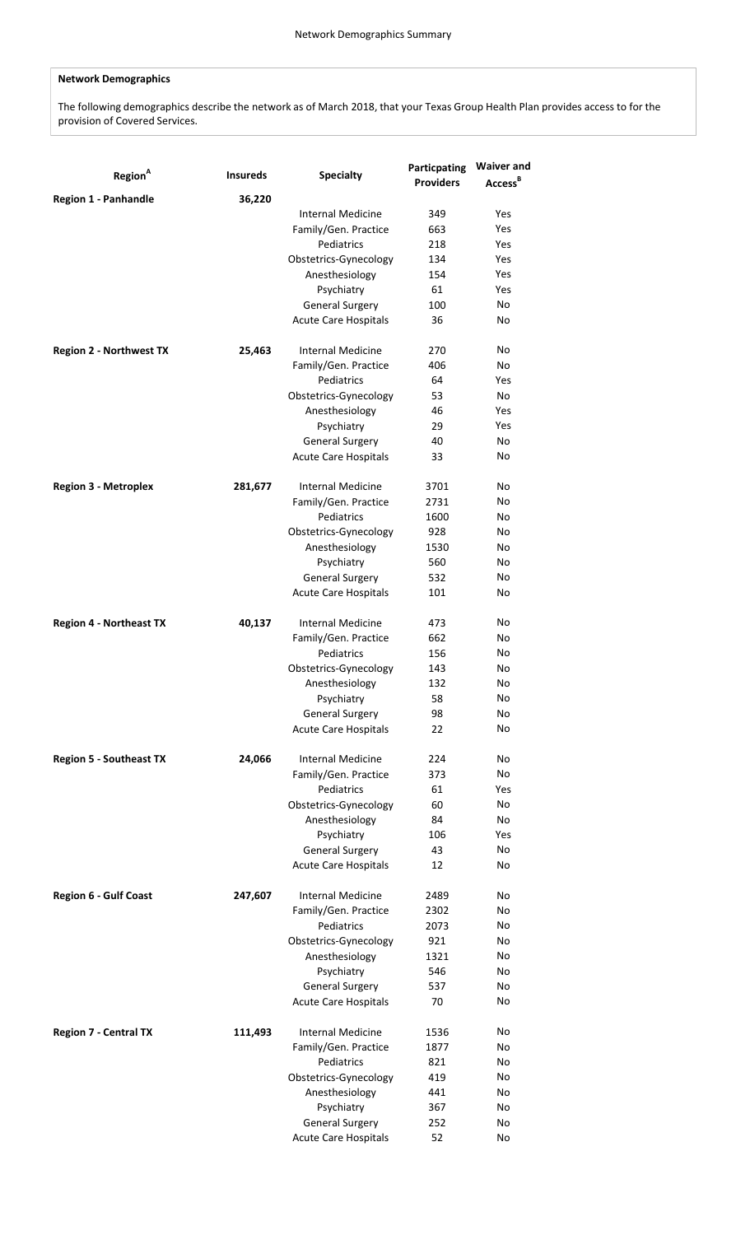## **Network Demographics**

The following demographics describe the network as of March 2018, that your Texas Group Health Plan provides access to for the provision of Covered Services.

| Region <sup>A</sup>            | <b>Insureds</b> | <b>Specialty</b>                                      | Particpating<br><b>Providers</b> | <b>Waiver and</b><br>Access <sup>B</sup> |
|--------------------------------|-----------------|-------------------------------------------------------|----------------------------------|------------------------------------------|
| Region 1 - Panhandle           | 36,220          |                                                       |                                  |                                          |
|                                |                 | <b>Internal Medicine</b>                              | 349                              | Yes                                      |
|                                |                 | Family/Gen. Practice                                  | 663                              | Yes                                      |
|                                |                 | Pediatrics                                            | 218                              | Yes                                      |
|                                |                 | Obstetrics-Gynecology                                 | 134                              | Yes                                      |
|                                |                 | Anesthesiology                                        | 154                              | Yes                                      |
|                                |                 | Psychiatry                                            | 61                               | Yes                                      |
|                                |                 | <b>General Surgery</b>                                | 100                              | No                                       |
|                                |                 | <b>Acute Care Hospitals</b>                           | 36                               | No                                       |
| <b>Region 2 - Northwest TX</b> | 25,463          | <b>Internal Medicine</b>                              | 270                              | No                                       |
|                                |                 | Family/Gen. Practice                                  | 406                              | No                                       |
|                                |                 | Pediatrics                                            | 64                               | Yes                                      |
|                                |                 | Obstetrics-Gynecology                                 | 53                               | No                                       |
|                                |                 | Anesthesiology                                        | 46                               | Yes                                      |
|                                |                 | Psychiatry                                            | 29                               | Yes                                      |
|                                |                 | <b>General Surgery</b><br><b>Acute Care Hospitals</b> | 40<br>33                         | No<br>No                                 |
|                                |                 |                                                       |                                  |                                          |
| <b>Region 3 - Metroplex</b>    | 281,677         | Internal Medicine                                     | 3701                             | No                                       |
|                                |                 | Family/Gen. Practice                                  | 2731                             | No                                       |
|                                |                 | Pediatrics                                            | 1600                             | No                                       |
|                                |                 | Obstetrics-Gynecology                                 | 928                              | No                                       |
|                                |                 | Anesthesiology                                        | 1530                             | No                                       |
|                                |                 | Psychiatry                                            | 560                              | No                                       |
|                                |                 | <b>General Surgery</b>                                | 532                              | No                                       |
|                                |                 | <b>Acute Care Hospitals</b>                           | 101                              | No                                       |
| <b>Region 4 - Northeast TX</b> | 40,137          | <b>Internal Medicine</b>                              | 473                              | No                                       |
|                                |                 | Family/Gen. Practice                                  | 662                              | No                                       |
|                                |                 | Pediatrics                                            | 156                              | No                                       |
|                                |                 | Obstetrics-Gynecology                                 | 143                              | No                                       |
|                                |                 | Anesthesiology                                        | 132                              | No                                       |
|                                |                 | Psychiatry                                            | 58                               | No                                       |
|                                |                 | <b>General Surgery</b>                                | 98                               | No                                       |
|                                |                 | <b>Acute Care Hospitals</b>                           | 22                               | No                                       |
| <b>Region 5 - Southeast TX</b> | 24,066          | <b>Internal Medicine</b>                              | 224                              | No                                       |
|                                |                 | Family/Gen. Practice                                  | 373                              | No                                       |
|                                |                 | Pediatrics                                            | 61                               | Yes                                      |
|                                |                 | Obstetrics-Gynecology                                 | 60                               | No                                       |
|                                |                 | Anesthesiology                                        | 84                               | No                                       |
|                                |                 | Psychiatry                                            | 106                              | Yes                                      |
|                                |                 | <b>General Surgery</b>                                | 43                               | No                                       |
|                                |                 | <b>Acute Care Hospitals</b>                           | 12                               | No                                       |
| <b>Region 6 - Gulf Coast</b>   | 247,607         | <b>Internal Medicine</b>                              | 2489                             | No                                       |
|                                |                 | Family/Gen. Practice                                  | 2302                             | No                                       |
|                                |                 | Pediatrics                                            | 2073                             | No                                       |
|                                |                 | Obstetrics-Gynecology                                 | 921                              | No                                       |
|                                |                 | Anesthesiology                                        | 1321                             | No                                       |
|                                |                 | Psychiatry                                            | 546                              | No                                       |
|                                |                 | <b>General Surgery</b>                                | 537                              | No                                       |
|                                |                 | <b>Acute Care Hospitals</b>                           | 70                               | No                                       |
| <b>Region 7 - Central TX</b>   | 111,493         | <b>Internal Medicine</b>                              | 1536                             | No                                       |
|                                |                 | Family/Gen. Practice                                  | 1877                             | No                                       |
|                                |                 | Pediatrics                                            | 821                              | No                                       |
|                                |                 | Obstetrics-Gynecology                                 | 419                              | No                                       |
|                                |                 | Anesthesiology                                        | 441                              | No                                       |
|                                |                 | Psychiatry                                            | 367                              | No                                       |
|                                |                 | <b>General Surgery</b>                                | 252                              | No                                       |
|                                |                 | Acute Care Hospitals                                  | 52                               | No                                       |